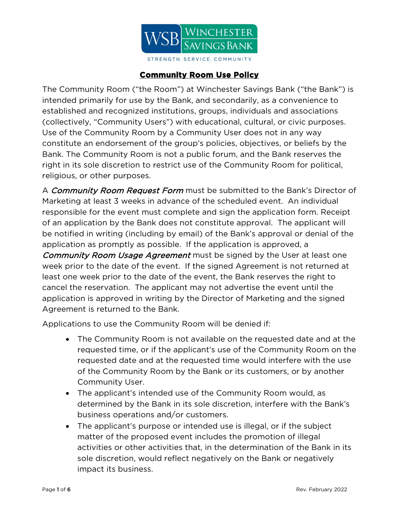

## **Community Room Use Policy**

The Community Room ("the Room") at Winchester Savings Bank ("the Bank") is intended primarily for use by the Bank, and secondarily, as a convenience to established and recognized institutions, groups, individuals and associations (collectively, "Community Users") with educational, cultural, or civic purposes. Use of the Community Room by a Community User does not in any way constitute an endorsement of the group's policies, objectives, or beliefs by the Bank. The Community Room is not a public forum, and the Bank reserves the right in its sole discretion to restrict use of the Community Room for political, religious, or other purposes.

A *Community Room Request Form* must be submitted to the Bank's Director of Marketing at least 3 weeks in advance of the scheduled event. An individual responsible for the event must complete and sign the application form. Receipt of an application by the Bank does not constitute approval. The applicant will be notified in writing (including by email) of the Bank's approval or denial of the application as promptly as possible. If the application is approved, a Community Room Usage Agreement must be signed by the User at least one week prior to the date of the event. If the signed Agreement is not returned at least one week prior to the date of the event, the Bank reserves the right to cancel the reservation. The applicant may not advertise the event until the application is approved in writing by the Director of Marketing and the signed Agreement is returned to the Bank.

Applications to use the Community Room will be denied if:

- The Community Room is not available on the requested date and at the requested time, or if the applicant's use of the Community Room on the requested date and at the requested time would interfere with the use of the Community Room by the Bank or its customers, or by another Community User.
- The applicant's intended use of the Community Room would, as determined by the Bank in its sole discretion, interfere with the Bank's business operations and/or customers.
- The applicant's purpose or intended use is illegal, or if the subject matter of the proposed event includes the promotion of illegal activities or other activities that, in the determination of the Bank in its sole discretion, would reflect negatively on the Bank or negatively impact its business.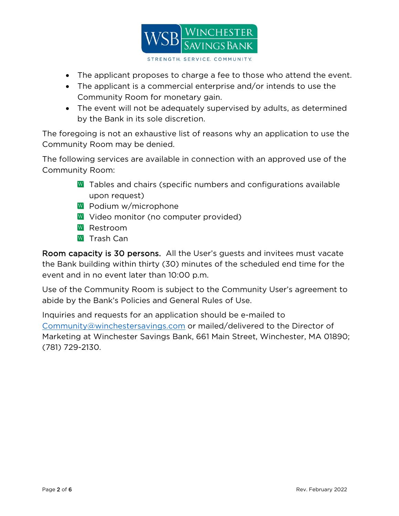

- The applicant proposes to charge a fee to those who attend the event.
- The applicant is a commercial enterprise and/or intends to use the Community Room for monetary gain.
- The event will not be adequately supervised by adults, as determined by the Bank in its sole discretion.

The foregoing is not an exhaustive list of reasons why an application to use the Community Room may be denied.

The following services are available in connection with an approved use of the Community Room:

- W Tables and chairs (specific numbers and configurations available upon request)
- W Podium w/microphone
- W Video monitor (no computer provided)
- W Restroom
- $\overline{W}$  Trash Can

Room capacity is 30 persons. All the User's guests and invitees must vacate the Bank building within thirty (30) minutes of the scheduled end time for the event and in no event later than 10:00 p.m.

Use of the Community Room is subject to the Community User's agreement to abide by the Bank's Policies and General Rules of Use.

Inquiries and requests for an application should be e-mailed to [Community@winchestersavings.com](mailto:Community@winchestersavings.com) or mailed/delivered to the Director of Marketing at Winchester Savings Bank, 661 Main Street, Winchester, MA 01890; (781) 729-2130.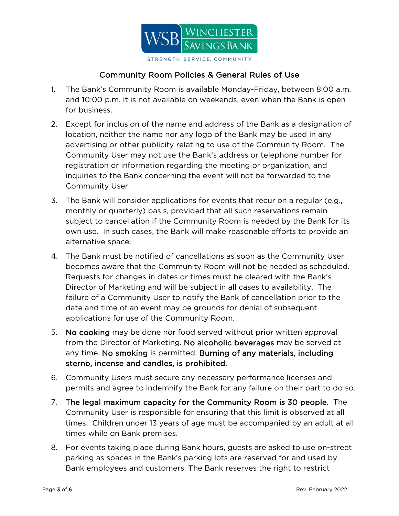

## Community Room Policies & General Rules of Use

- 1. The Bank's Community Room is available Monday-Friday, between 8:00 a.m. and 10:00 p.m. It is not available on weekends, even when the Bank is open for business.
- 2. Except for inclusion of the name and address of the Bank as a designation of location, neither the name nor any logo of the Bank may be used in any advertising or other publicity relating to use of the Community Room. The Community User may not use the Bank's address or telephone number for registration or information regarding the meeting or organization, and inquiries to the Bank concerning the event will not be forwarded to the Community User.
- 3. The Bank will consider applications for events that recur on a regular (e.g., monthly or quarterly) basis, provided that all such reservations remain subject to cancellation if the Community Room is needed by the Bank for its own use. In such cases, the Bank will make reasonable efforts to provide an alternative space.
- 4. The Bank must be notified of cancellations as soon as the Community User becomes aware that the Community Room will not be needed as scheduled. Requests for changes in dates or times must be cleared with the Bank's Director of Marketing and will be subject in all cases to availability. The failure of a Community User to notify the Bank of cancellation prior to the date and time of an event may be grounds for denial of subsequent applications for use of the Community Room.
- 5. No cooking may be done nor food served without prior written approval from the Director of Marketing. No alcoholic beverages may be served at any time. No smoking is permitted. Burning of any materials, including sterno, incense and candles, is prohibited.
- 6. Community Users must secure any necessary performance licenses and permits and agree to indemnify the Bank for any failure on their part to do so.
- 7. The legal maximum capacity for the Community Room is 30 people. The Community User is responsible for ensuring that this limit is observed at all times. Children under 13 years of age must be accompanied by an adult at all times while on Bank premises.
- 8. For events taking place during Bank hours, guests are asked to use on-street parking as spaces in the Bank's parking lots are reserved for and used by Bank employees and customers. The Bank reserves the right to restrict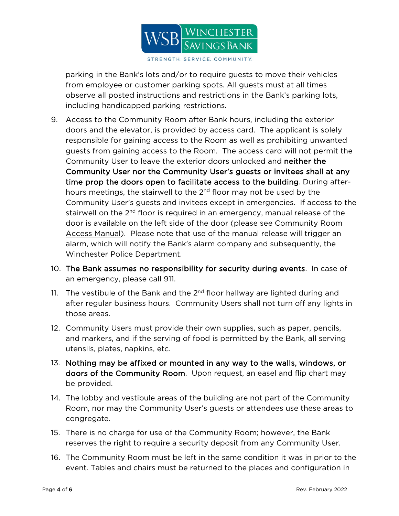

parking in the Bank's lots and/or to require guests to move their vehicles from employee or customer parking spots. All guests must at all times observe all posted instructions and restrictions in the Bank's parking lots, including handicapped parking restrictions.

- 9. Access to the Community Room after Bank hours, including the exterior doors and the elevator, is provided by access card. The applicant is solely responsible for gaining access to the Room as well as prohibiting unwanted guests from gaining access to the Room. The access card will not permit the Community User to leave the exterior doors unlocked and neither the Community User nor the Community User's guests or invitees shall at any time prop the doors open to facilitate access to the building. During afterhours meetings, the stairwell to the 2<sup>nd</sup> floor may not be used by the Community User's guests and invitees except in emergencies. If access to the stairwell on the 2<sup>nd</sup> floor is required in an emergency, manual release of the door is available on the left side of the door (please see Community Room Access Manual). Please note that use of the manual release will trigger an alarm, which will notify the Bank's alarm company and subsequently, the Winchester Police Department.
- 10. The Bank assumes no responsibility for security during events. In case of an emergency, please call 911.
- 11. The vestibule of the Bank and the  $2<sup>nd</sup>$  floor hallway are lighted during and after regular business hours. Community Users shall not turn off any lights in those areas.
- 12. Community Users must provide their own supplies, such as paper, pencils, and markers, and if the serving of food is permitted by the Bank, all serving utensils, plates, napkins, etc.
- 13. Nothing may be affixed or mounted in any way to the walls, windows, or doors of the Community Room. Upon request, an easel and flip chart may be provided.
- 14. The lobby and vestibule areas of the building are not part of the Community Room, nor may the Community User's guests or attendees use these areas to congregate.
- 15. There is no charge for use of the Community Room; however, the Bank reserves the right to require a security deposit from any Community User.
- 16. The Community Room must be left in the same condition it was in prior to the event. Tables and chairs must be returned to the places and configuration in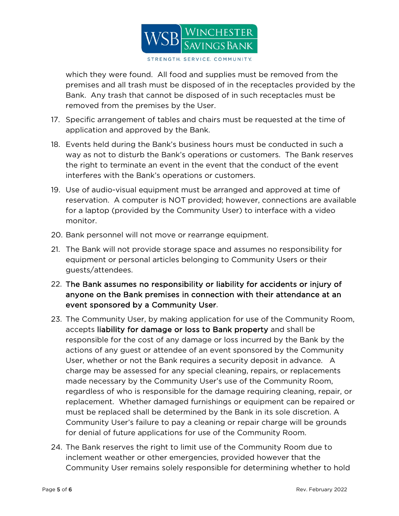

which they were found. All food and supplies must be removed from the premises and all trash must be disposed of in the receptacles provided by the Bank. Any trash that cannot be disposed of in such receptacles must be removed from the premises by the User.

- 17. Specific arrangement of tables and chairs must be requested at the time of application and approved by the Bank.
- 18. Events held during the Bank's business hours must be conducted in such a way as not to disturb the Bank's operations or customers. The Bank reserves the right to terminate an event in the event that the conduct of the event interferes with the Bank's operations or customers.
- 19. Use of audio-visual equipment must be arranged and approved at time of reservation. A computer is NOT provided; however, connections are available for a laptop (provided by the Community User) to interface with a video monitor.
- 20. Bank personnel will not move or rearrange equipment.
- 21. The Bank will not provide storage space and assumes no responsibility for equipment or personal articles belonging to Community Users or their guests/attendees.
- 22. The Bank assumes no responsibility or liability for accidents or injury of anyone on the Bank premises in connection with their attendance at an event sponsored by a Community User.
- 23. The Community User, by making application for use of the Community Room, accepts liability for damage or loss to Bank property and shall be responsible for the cost of any damage or loss incurred by the Bank by the actions of any guest or attendee of an event sponsored by the Community User, whether or not the Bank requires a security deposit in advance. A charge may be assessed for any special cleaning, repairs, or replacements made necessary by the Community User's use of the Community Room, regardless of who is responsible for the damage requiring cleaning, repair, or replacement. Whether damaged furnishings or equipment can be repaired or must be replaced shall be determined by the Bank in its sole discretion. A Community User's failure to pay a cleaning or repair charge will be grounds for denial of future applications for use of the Community Room.
- 24. The Bank reserves the right to limit use of the Community Room due to inclement weather or other emergencies, provided however that the Community User remains solely responsible for determining whether to hold